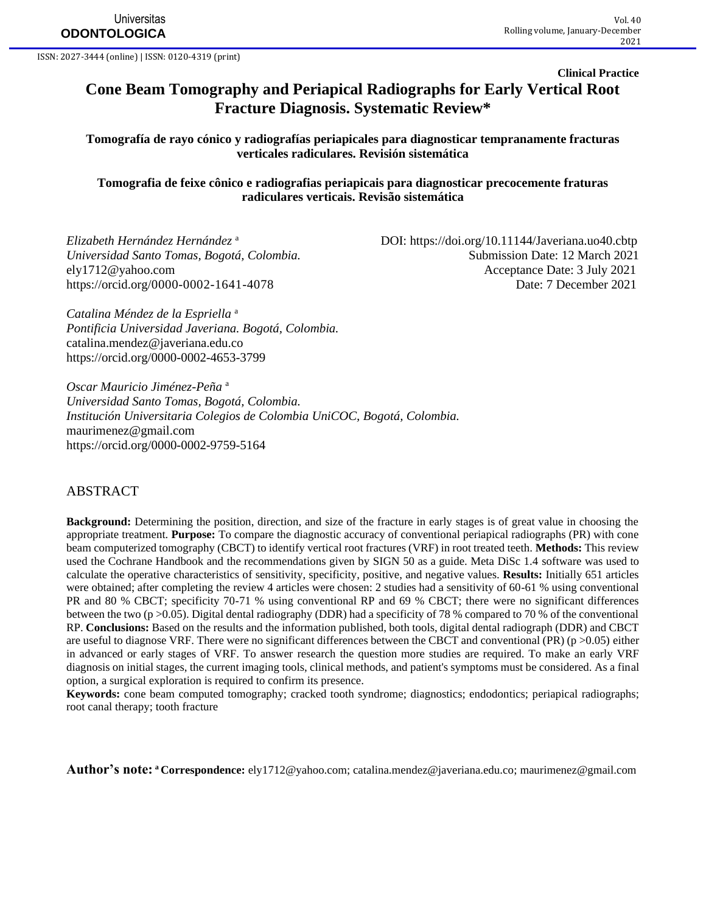**Universitas ODONTOLOGICA**

ISSN: 2027-3444 (online) | ISSN: 0120-4319 (print)

**Clinical Practice**

# **Cone Beam Tomography and Periapical Radiographs for Early Vertical Root Fracture Diagnosis. Systematic Review\***

**Tomografía de rayo cónico y radiografías periapicales para diagnosticar tempranamente fracturas verticales radiculares. Revisión sistemática**

**Tomografia de feixe cônico e radiografias periapicais para diagnosticar precocemente fraturas radiculares verticais. Revisão sistemática**

*Elizabeth Hernández Hernández* <sup>a</sup>

 DOI:<https://doi.org/10.11144/Javeriana.uo40.cbtp> *Universidad Santo Tomas, Bogotá, Colombia.* Submission Date: 12 March 2021 [ely1712@yahoo.com](mailto:ely1712@yahoo.com) Acceptance Date: 3 July 2021 <https://orcid.org/0000-0002-1641-4078> Date: 7 December 2021

*Catalina Méndez de la Espriella* <sup>a</sup> *Pontificia Universidad Javeriana. Bogotá, Colombia.* [catalina.mendez@javeriana.edu.co](mailto:catalina.mendez@javeriana.edu.co) <https://orcid.org/0000-0002-4653-3799>

*Oscar Mauricio Jiménez-Peña* <sup>a</sup> *Universidad Santo Tomas, Bogotá, Colombia. Institución Universitaria Colegios de Colombia UniCOC, Bogotá, Colombia.*  [maurimenez@gmail.com](mailto:maurimenez@gmail.com) <https://orcid.org/0000-0002-9759-5164>

### ABSTRACT

**Background:** Determining the position, direction, and size of the fracture in early stages is of great value in choosing the appropriate treatment. **Purpose:** To compare the diagnostic accuracy of conventional periapical radiographs (PR) with cone beam computerized tomography (CBCT) to identify vertical root fractures (VRF) in root treated teeth. **Methods:** This review used the Cochrane Handbook and the recommendations given by SIGN 50 as a guide. Meta DiSc 1.4 software was used to calculate the operative characteristics of sensitivity, specificity, positive, and negative values. **Results:** Initially 651 articles were obtained; after completing the review 4 articles were chosen: 2 studies had a sensitivity of 60-61 % using conventional PR and 80 % CBCT; specificity 70-71 % using conventional RP and 69 % CBCT; there were no significant differences between the two (p >0.05). Digital dental radiography (DDR) had a specificity of 78 % compared to 70 % of the conventional RP. **Conclusions:** Based on the results and the information published, both tools, digital dental radiograph (DDR) and CBCT are useful to diagnose VRF. There were no significant differences between the CBCT and conventional (PR) ( $p > 0.05$ ) either in advanced or early stages of VRF. To answer research the question more studies are required. To make an early VRF diagnosis on initial stages, the current imaging tools, clinical methods, and patient's symptoms must be considered. As a final option, a surgical exploration is required to confirm its presence.

**Keywords:** cone beam computed tomography; cracked tooth syndrome; diagnostics; endodontics; periapical radiographs; root canal therapy; tooth fracture

**Author's note: <sup>a</sup> Correspondence:** [ely1712@yahoo.com;](mailto:ely1712@yahoo.com) [catalina.mendez@javeriana.edu.co;](mailto:catalina.mendez@javeriana.edu.co) [maurimenez@gmail.com](mailto:maurimenez@gmail.com)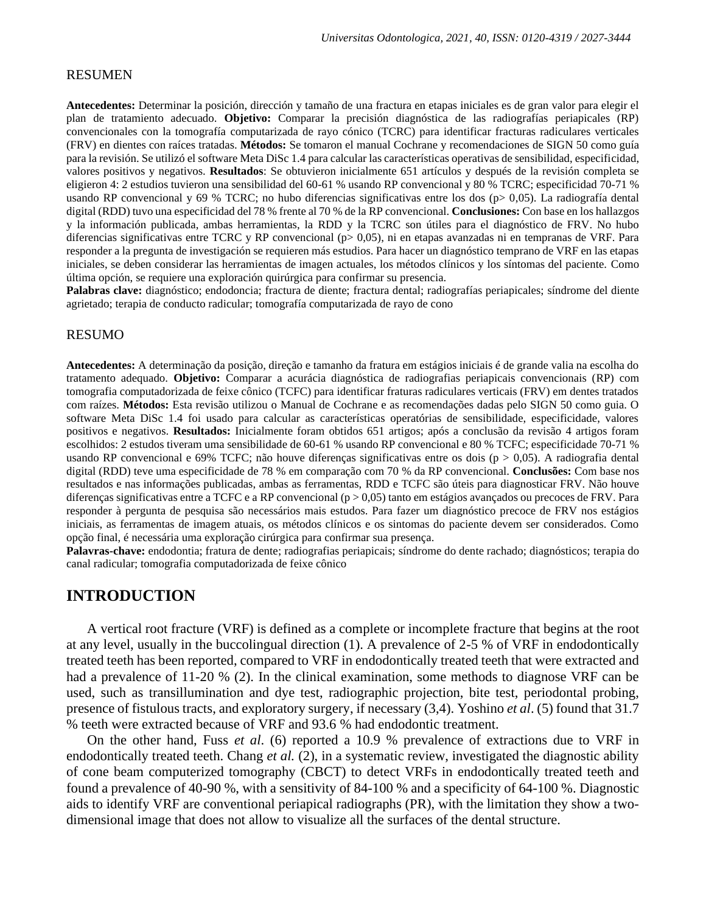#### RESUMEN

**Antecedentes:** Determinar la posición, dirección y tamaño de una fractura en etapas iniciales es de gran valor para elegir el plan de tratamiento adecuado. **Objetivo:** Comparar la precisión diagnóstica de las radiografías periapicales (RP) convencionales con la tomografía computarizada de rayo cónico (TCRC) para identificar fracturas radiculares verticales (FRV) en dientes con raíces tratadas. **Métodos:** Se tomaron el manual Cochrane y recomendaciones de SIGN 50 como guía para la revisión. Se utilizó el software Meta DiSc 1.4 para calcular las características operativas de sensibilidad, especificidad, valores positivos y negativos. **Resultados**: Se obtuvieron inicialmente 651 artículos y después de la revisión completa se eligieron 4: 2 estudios tuvieron una sensibilidad del 60-61 % usando RP convencional y 80 % TCRC; especificidad 70-71 % usando RP convencional y 69 % TCRC; no hubo diferencias significativas entre los dos (p> 0,05). La radiografía dental digital (RDD) tuvo una especificidad del 78 % frente al 70 % de la RP convencional. **Conclusiones:** Con base en los hallazgos y la información publicada, ambas herramientas, la RDD y la TCRC son útiles para el diagnóstico de FRV. No hubo diferencias significativas entre TCRC y RP convencional (p> 0,05), ni en etapas avanzadas ni en tempranas de VRF. Para responder a la pregunta de investigación se requieren más estudios. Para hacer un diagnóstico temprano de VRF en las etapas iniciales, se deben considerar las herramientas de imagen actuales, los métodos clínicos y los síntomas del paciente. Como última opción, se requiere una exploración quirúrgica para confirmar su presencia.

Palabras clave: diagnóstico; endodoncia; fractura de diente; fractura dental; radiografías periapicales; síndrome del diente agrietado; terapia de conducto radicular; tomografía computarizada de rayo de cono

#### RESUMO

**Antecedentes:** A determinação da posição, direção e tamanho da fratura em estágios iniciais é de grande valia na escolha do tratamento adequado. **Objetivo:** Comparar a acurácia diagnóstica de radiografias periapicais convencionais (RP) com tomografia computadorizada de feixe cônico (TCFC) para identificar fraturas radiculares verticais (FRV) em dentes tratados com raízes. **Métodos:** Esta revisão utilizou o Manual de Cochrane e as recomendações dadas pelo SIGN 50 como guia. O software Meta DiSc 1.4 foi usado para calcular as características operatórias de sensibilidade, especificidade, valores positivos e negativos. **Resultados:** Inicialmente foram obtidos 651 artigos; após a conclusão da revisão 4 artigos foram escolhidos: 2 estudos tiveram uma sensibilidade de 60-61 % usando RP convencional e 80 % TCFC; especificidade 70-71 % usando RP convencional e 69% TCFC; não houve diferenças significativas entre os dois ( $p > 0.05$ ). A radiografia dental digital (RDD) teve uma especificidade de 78 % em comparação com 70 % da RP convencional. **Conclusões:** Com base nos resultados e nas informações publicadas, ambas as ferramentas, RDD e TCFC são úteis para diagnosticar FRV. Não houve diferenças significativas entre a TCFC e a RP convencional ( $p > 0.05$ ) tanto em estágios avançados ou precoces de FRV. Para responder à pergunta de pesquisa são necessários mais estudos. Para fazer um diagnóstico precoce de FRV nos estágios iniciais, as ferramentas de imagem atuais, os métodos clínicos e os sintomas do paciente devem ser considerados. Como opção final, é necessária uma exploração cirúrgica para confirmar sua presença.

**Palavras-chave:** endodontia; fratura de dente; radiografias periapicais; síndrome do dente rachado; diagnósticos; terapia do canal radicular; tomografia computadorizada de feixe cônico

### **INTRODUCTION**

A vertical root fracture (VRF) is defined as a complete or incomplete fracture that begins at the root at any level, usually in the buccolingual direction (1). A prevalence of 2-5 % of VRF in endodontically treated teeth has been reported, compared to VRF in endodontically treated teeth that were extracted and had a prevalence of 11-20 % (2). In the clinical examination, some methods to diagnose VRF can be used, such as transillumination and dye test, radiographic projection, bite test, periodontal probing, presence of fistulous tracts, and exploratory surgery, if necessary (3,4). Yoshino *et al*. (5) found that 31.7 % teeth were extracted because of VRF and 93.6 % had endodontic treatment.

On the other hand, Fuss *et al*. (6) reported a 10.9 % prevalence of extractions due to VRF in endodontically treated teeth. Chang *et al.* (2), in a systematic review, investigated the diagnostic ability of cone beam computerized tomography (CBCT) to detect VRFs in endodontically treated teeth and found a prevalence of 40-90 %, with a sensitivity of 84-100 % and a specificity of 64-100 %. Diagnostic aids to identify VRF are conventional periapical radiographs (PR), with the limitation they show a twodimensional image that does not allow to visualize all the surfaces of the dental structure.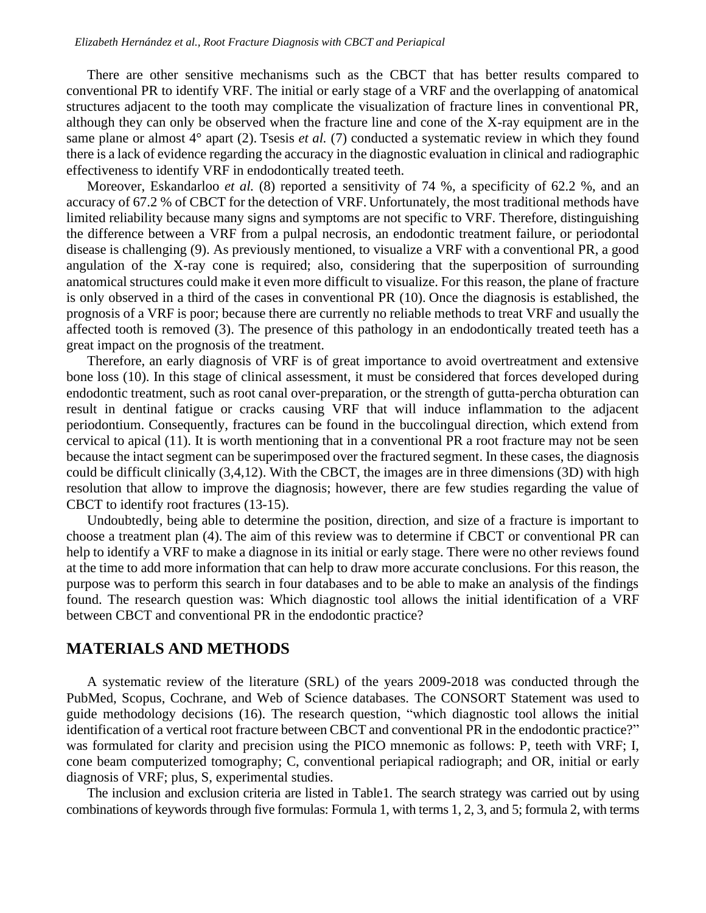There are other sensitive mechanisms such as the CBCT that has better results compared to conventional PR to identify VRF. The initial or early stage of a VRF and the overlapping of anatomical structures adjacent to the tooth may complicate the visualization of fracture lines in conventional PR, although they can only be observed when the fracture line and cone of the X-ray equipment are in the same plane or almost  $4^{\circ}$  apart (2). Tsesis *et al.* (7) conducted a systematic review in which they found there is a lack of evidence regarding the accuracy in the diagnostic evaluation in clinical and radiographic effectiveness to identify VRF in endodontically treated teeth.

Moreover, Eskandarloo *et al.* (8) reported a sensitivity of 74 %, a specificity of 62.2 %, and an accuracy of 67.2 % of CBCT for the detection of VRF. Unfortunately, the most traditional methods have limited reliability because many signs and symptoms are not specific to VRF. Therefore, distinguishing the difference between a VRF from a pulpal necrosis, an endodontic treatment failure, or periodontal disease is challenging (9). As previously mentioned, to visualize a VRF with a conventional PR, a good angulation of the X-ray cone is required; also, considering that the superposition of surrounding anatomical structures could make it even more difficult to visualize. For this reason, the plane of fracture is only observed in a third of the cases in conventional PR (10). Once the diagnosis is established, the prognosis of a VRF is poor; because there are currently no reliable methods to treat VRF and usually the affected tooth is removed (3). The presence of this pathology in an endodontically treated teeth has a great impact on the prognosis of the treatment.

Therefore, an early diagnosis of VRF is of great importance to avoid overtreatment and extensive bone loss (10). In this stage of clinical assessment, it must be considered that forces developed during endodontic treatment, such as root canal over-preparation, or the strength of gutta-percha obturation can result in dentinal fatigue or cracks causing VRF that will induce inflammation to the adjacent periodontium. Consequently, fractures can be found in the buccolingual direction, which extend from cervical to apical (11). It is worth mentioning that in a conventional PR a root fracture may not be seen because the intact segment can be superimposed over the fractured segment. In these cases, the diagnosis could be difficult clinically (3,4,12). With the CBCT, the images are in three dimensions (3D) with high resolution that allow to improve the diagnosis; however, there are few studies regarding the value of CBCT to identify root fractures (13-15).

Undoubtedly, being able to determine the position, direction, and size of a fracture is important to choose a treatment plan (4). The aim of this review was to determine if CBCT or conventional PR can help to identify a VRF to make a diagnose in its initial or early stage. There were no other reviews found at the time to add more information that can help to draw more accurate conclusions. For this reason, the purpose was to perform this search in four databases and to be able to make an analysis of the findings found. The research question was: Which diagnostic tool allows the initial identification of a VRF between CBCT and conventional PR in the endodontic practice?

### **MATERIALS AND METHODS**

A systematic review of the literature (SRL) of the years 2009-2018 was conducted through the PubMed, Scopus, Cochrane, and Web of Science databases. The CONSORT Statement was used to guide methodology decisions (16). The research question, "which diagnostic tool allows the initial identification of a vertical root fracture between CBCT and conventional PR in the endodontic practice?" was formulated for clarity and precision using the PICO mnemonic as follows: P, teeth with VRF; I, cone beam computerized tomography; C, conventional periapical radiograph; and OR, initial or early diagnosis of VRF; plus, S, experimental studies.

The inclusion and exclusion criteria are listed in Table1. The search strategy was carried out by using combinations of keywords through five formulas: Formula 1, with terms 1, 2, 3, and 5; formula 2, with terms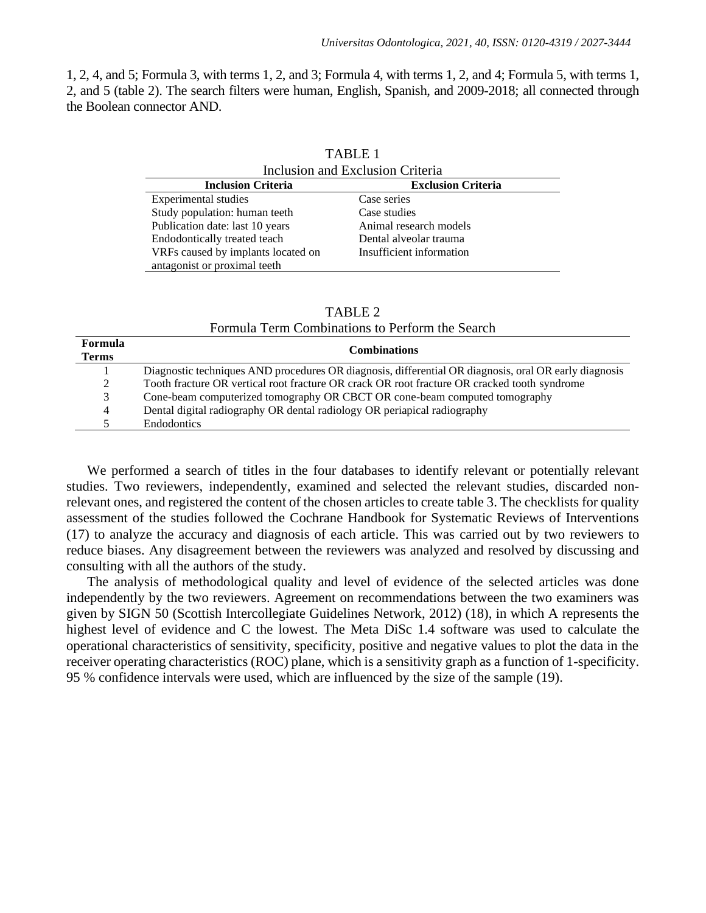1, 2, 4, and 5; Formula 3, with terms 1, 2, and 3; Formula 4, with terms 1, 2, and 4; Formula 5, with terms 1, 2, and 5 (table 2). The search filters were human, English, Spanish, and 2009-2018; all connected through the Boolean connector AND.

TABLE 1

| Inclusion and Exclusion Criteria   |                           |  |  |
|------------------------------------|---------------------------|--|--|
| <b>Inclusion Criteria</b>          | <b>Exclusion Criteria</b> |  |  |
| <b>Experimental studies</b>        | Case series               |  |  |
| Study population: human teeth      | Case studies              |  |  |
| Publication date: last 10 years    | Animal research models    |  |  |
| Endodontically treated teach       | Dental alveolar trauma    |  |  |
| VRFs caused by implants located on | Insufficient information  |  |  |
| antagonist or proximal teeth       |                           |  |  |

| t of proximate toom |         |  |
|---------------------|---------|--|
|                     |         |  |
|                     |         |  |
|                     |         |  |
|                     |         |  |
|                     |         |  |
|                     | TABLE 2 |  |
|                     |         |  |

| Formula Term Combinations to Perform the Search |  |
|-------------------------------------------------|--|
|                                                 |  |

| Formula<br><b>Terms</b> | <b>Combinations</b>                                                                                   |
|-------------------------|-------------------------------------------------------------------------------------------------------|
|                         | Diagnostic techniques AND procedures OR diagnosis, differential OR diagnosis, oral OR early diagnosis |
| 2                       | Tooth fracture OR vertical root fracture OR crack OR root fracture OR cracked tooth syndrome          |
| 3                       | Cone-beam computerized tomography OR CBCT OR cone-beam computed tomography                            |
| 4                       | Dental digital radiography OR dental radiology OR periapical radiography                              |
|                         | <b>Endodontics</b>                                                                                    |
|                         |                                                                                                       |

We performed a search of titles in the four databases to identify relevant or potentially relevant studies. Two reviewers, independently, examined and selected the relevant studies, discarded nonrelevant ones, and registered the content of the chosen articles to create table 3. The checklists for quality assessment of the studies followed the Cochrane Handbook for Systematic Reviews of Interventions (17) to analyze the accuracy and diagnosis of each article. This was carried out by two reviewers to reduce biases. Any disagreement between the reviewers was analyzed and resolved by discussing and consulting with all the authors of the study.

The analysis of methodological quality and level of evidence of the selected articles was done independently by the two reviewers. Agreement on recommendations between the two examiners was given by SIGN 50 (Scottish Intercollegiate Guidelines Network, 2012) (18), in which A represents the highest level of evidence and C the lowest. The Meta DiSc 1.4 software was used to calculate the operational characteristics of sensitivity, specificity, positive and negative values to plot the data in the receiver operating characteristics (ROC) plane, which is a sensitivity graph as a function of 1-specificity. 95 % confidence intervals were used, which are influenced by the size of the sample (19).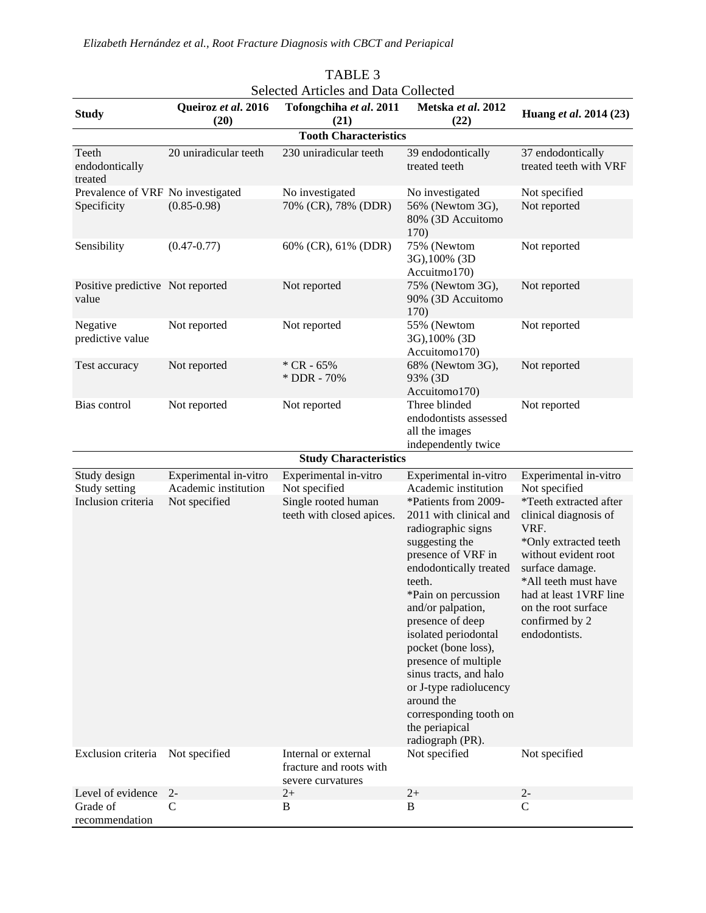*Elizabeth Hernández et al., Root Fracture Diagnosis with CBCT and Periapical* 

|                                                     |                                                                | <b>Selected Articles and Data Collected</b>                                                |                                                                                                                                                                                                                                                                                                                                                                                                                                                                            |                                                                                                                                                                                                                                                                                   |
|-----------------------------------------------------|----------------------------------------------------------------|--------------------------------------------------------------------------------------------|----------------------------------------------------------------------------------------------------------------------------------------------------------------------------------------------------------------------------------------------------------------------------------------------------------------------------------------------------------------------------------------------------------------------------------------------------------------------------|-----------------------------------------------------------------------------------------------------------------------------------------------------------------------------------------------------------------------------------------------------------------------------------|
| <b>Study</b>                                        | Queiroz et al. 2016<br>(20)                                    | Tofongchiha et al. 2011<br>(21)                                                            | Metska et al. 2012<br>(22)                                                                                                                                                                                                                                                                                                                                                                                                                                                 | Huang et al. 2014 (23)                                                                                                                                                                                                                                                            |
|                                                     |                                                                | <b>Tooth Characteristics</b>                                                               |                                                                                                                                                                                                                                                                                                                                                                                                                                                                            |                                                                                                                                                                                                                                                                                   |
| Teeth<br>endodontically<br>treated                  | 20 uniradicular teeth                                          | 230 uniradicular teeth                                                                     | 39 endodontically<br>treated teeth                                                                                                                                                                                                                                                                                                                                                                                                                                         | 37 endodontically<br>treated teeth with VRF                                                                                                                                                                                                                                       |
| Prevalence of VRF No investigated                   |                                                                | No investigated                                                                            | No investigated                                                                                                                                                                                                                                                                                                                                                                                                                                                            | Not specified                                                                                                                                                                                                                                                                     |
| Specificity                                         | $(0.85 - 0.98)$                                                | 70% (CR), 78% (DDR)                                                                        | 56% (Newtom 3G),<br>80% (3D Accuitomo<br>170)                                                                                                                                                                                                                                                                                                                                                                                                                              | Not reported                                                                                                                                                                                                                                                                      |
| Sensibility                                         | $(0.47 - 0.77)$                                                | 60% (CR), 61% (DDR)                                                                        | 75% (Newtom<br>3G), 100% (3D<br>Accuitmo170)                                                                                                                                                                                                                                                                                                                                                                                                                               | Not reported                                                                                                                                                                                                                                                                      |
| Positive predictive Not reported<br>value           |                                                                | Not reported                                                                               | 75% (Newtom 3G),<br>90% (3D Accuitomo<br>170)                                                                                                                                                                                                                                                                                                                                                                                                                              | Not reported                                                                                                                                                                                                                                                                      |
| Negative<br>predictive value                        | Not reported                                                   | Not reported                                                                               | 55% (Newtom<br>3G), 100% (3D<br>Accuitomo170)                                                                                                                                                                                                                                                                                                                                                                                                                              | Not reported                                                                                                                                                                                                                                                                      |
| Test accuracy                                       | Not reported                                                   | $*$ CR - 65%<br>* DDR - 70%                                                                | 68% (Newtom 3G),<br>93% (3D<br>Accuitomo170)                                                                                                                                                                                                                                                                                                                                                                                                                               | Not reported                                                                                                                                                                                                                                                                      |
| Bias control                                        | Not reported                                                   | Not reported                                                                               | Three blinded<br>endodontists assessed<br>all the images<br>independently twice                                                                                                                                                                                                                                                                                                                                                                                            | Not reported                                                                                                                                                                                                                                                                      |
|                                                     |                                                                | <b>Study Characteristics</b>                                                               |                                                                                                                                                                                                                                                                                                                                                                                                                                                                            |                                                                                                                                                                                                                                                                                   |
| Study design<br>Study setting<br>Inclusion criteria | Experimental in-vitro<br>Academic institution<br>Not specified | Experimental in-vitro<br>Not specified<br>Single rooted human<br>teeth with closed apices. | Experimental in-vitro<br>Academic institution<br>*Patients from 2009-<br>2011 with clinical and<br>radiographic signs<br>suggesting the<br>presence of VRF in<br>endodontically treated<br>teeth.<br>*Pain on percussion<br>and/or palpation,<br>presence of deep<br>isolated periodontal<br>pocket (bone loss),<br>presence of multiple<br>sinus tracts, and halo<br>or J-type radiolucency<br>around the<br>corresponding tooth on<br>the periapical<br>radiograph (PR). | Experimental in-vitro<br>Not specified<br>*Teeth extracted after<br>clinical diagnosis of<br>VRF.<br>*Only extracted teeth<br>without evident root<br>surface damage.<br>*All teeth must have<br>had at least 1VRF line<br>on the root surface<br>confirmed by 2<br>endodontists. |
| Exclusion criteria Not specified                    |                                                                | Internal or external<br>fracture and roots with<br>severe curvatures                       | Not specified                                                                                                                                                                                                                                                                                                                                                                                                                                                              | Not specified                                                                                                                                                                                                                                                                     |
| Level of evidence                                   | $2 -$                                                          | $2+$                                                                                       | $2+$                                                                                                                                                                                                                                                                                                                                                                                                                                                                       | $2 -$                                                                                                                                                                                                                                                                             |
| Grade of<br>recommendation                          | C                                                              | B                                                                                          | B                                                                                                                                                                                                                                                                                                                                                                                                                                                                          | $\mathbf C$                                                                                                                                                                                                                                                                       |

TABLE 3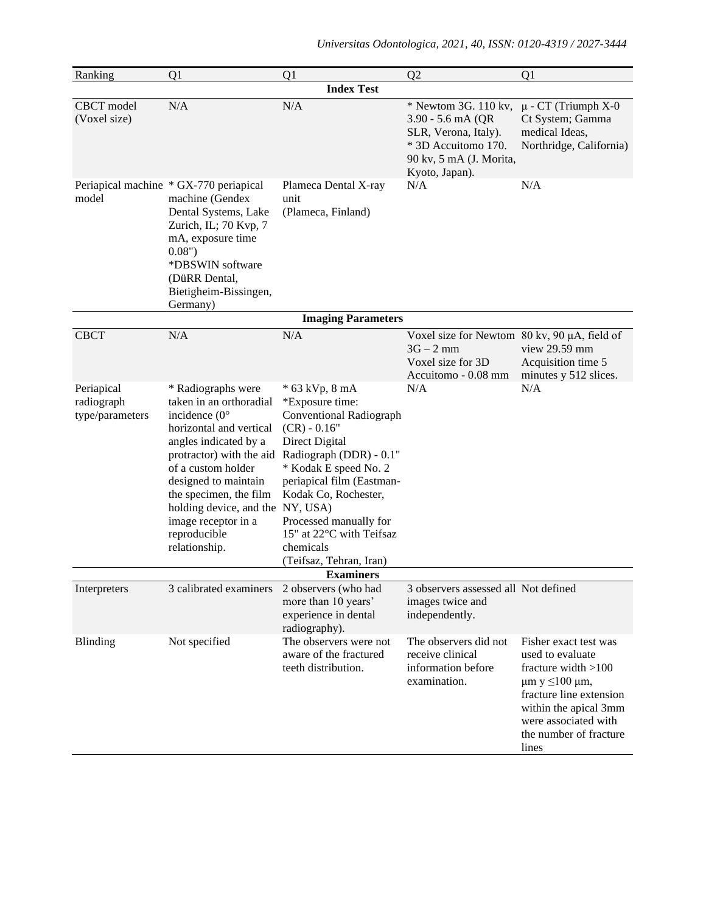| Ranking                                     | Q1                                                                                                                                                                                                                                                                                               | Q1                                                                                                                                                                                                                                                                                                                                      | Q2                                                                                                                                      | Q1                                                                                                                                                                                                                 |
|---------------------------------------------|--------------------------------------------------------------------------------------------------------------------------------------------------------------------------------------------------------------------------------------------------------------------------------------------------|-----------------------------------------------------------------------------------------------------------------------------------------------------------------------------------------------------------------------------------------------------------------------------------------------------------------------------------------|-----------------------------------------------------------------------------------------------------------------------------------------|--------------------------------------------------------------------------------------------------------------------------------------------------------------------------------------------------------------------|
|                                             |                                                                                                                                                                                                                                                                                                  | <b>Index Test</b>                                                                                                                                                                                                                                                                                                                       |                                                                                                                                         |                                                                                                                                                                                                                    |
| CBCT model<br>(Voxel size)                  | N/A                                                                                                                                                                                                                                                                                              | N/A                                                                                                                                                                                                                                                                                                                                     | $*$ Newtom 3G. 110 kv,<br>3.90 - 5.6 mA (QR<br>SLR, Verona, Italy).<br>* 3D Accuitomo 170.<br>90 kv, 5 mA (J. Morita,<br>Kyoto, Japan). | $\mu$ - CT (Triumph X-0<br>Ct System; Gamma<br>medical Ideas,<br>Northridge, California)                                                                                                                           |
| model                                       | Periapical machine * GX-770 periapical<br>machine (Gendex<br>Dental Systems, Lake<br>Zurich, IL; 70 Kvp, 7<br>mA, exposure time<br>0.08"<br>*DBSWIN software<br>(DüRR Dental,<br>Bietigheim-Bissingen,<br>Germany)                                                                               | Plameca Dental X-ray<br>unit<br>(Plameca, Finland)                                                                                                                                                                                                                                                                                      | N/A                                                                                                                                     | N/A                                                                                                                                                                                                                |
|                                             |                                                                                                                                                                                                                                                                                                  | <b>Imaging Parameters</b>                                                                                                                                                                                                                                                                                                               |                                                                                                                                         |                                                                                                                                                                                                                    |
| <b>CBCT</b>                                 | N/A                                                                                                                                                                                                                                                                                              | N/A                                                                                                                                                                                                                                                                                                                                     | Voxel size for Newtom 80 kv, 90 µA, field of<br>$3G - 2$ mm<br>Voxel size for 3D<br>Accuitomo - 0.08 mm                                 | view 29.59 mm<br>Acquisition time 5<br>minutes y 512 slices.                                                                                                                                                       |
| Periapical<br>radiograph<br>type/parameters | * Radiographs were<br>taken in an orthoradial<br>incidence $(0^{\circ})$<br>horizontal and vertical<br>angles indicated by a<br>of a custom holder<br>designed to maintain<br>the specimen, the film<br>holding device, and the NY, USA)<br>image receptor in a<br>reproducible<br>relationship. | * 63 kVp, 8 mA<br>*Exposure time:<br><b>Conventional Radiograph</b><br>$(CR) - 0.16"$<br>Direct Digital<br>protractor) with the aid Radiograph (DDR) - 0.1"<br>* Kodak E speed No. 2<br>periapical film (Eastman-<br>Kodak Co, Rochester,<br>Processed manually for<br>15" at 22°C with Teifsaz<br>chemicals<br>(Teifsaz, Tehran, Iran) | N/A                                                                                                                                     | N/A                                                                                                                                                                                                                |
| <b>Examiners</b>                            |                                                                                                                                                                                                                                                                                                  |                                                                                                                                                                                                                                                                                                                                         |                                                                                                                                         |                                                                                                                                                                                                                    |
| Interpreters                                | 3 calibrated examiners                                                                                                                                                                                                                                                                           | 2 observers (who had<br>more than 10 years'<br>experience in dental<br>radiography).                                                                                                                                                                                                                                                    | 3 observers assessed all Not defined<br>images twice and<br>independently.                                                              |                                                                                                                                                                                                                    |
| <b>Blinding</b>                             | Not specified                                                                                                                                                                                                                                                                                    | The observers were not<br>aware of the fractured<br>teeth distribution.                                                                                                                                                                                                                                                                 | The observers did not<br>receive clinical<br>information before<br>examination.                                                         | Fisher exact test was<br>used to evaluate<br>fracture width $>100$<br>$\mu$ m y $\leq$ 100 $\mu$ m,<br>fracture line extension<br>within the apical 3mm<br>were associated with<br>the number of fracture<br>lines |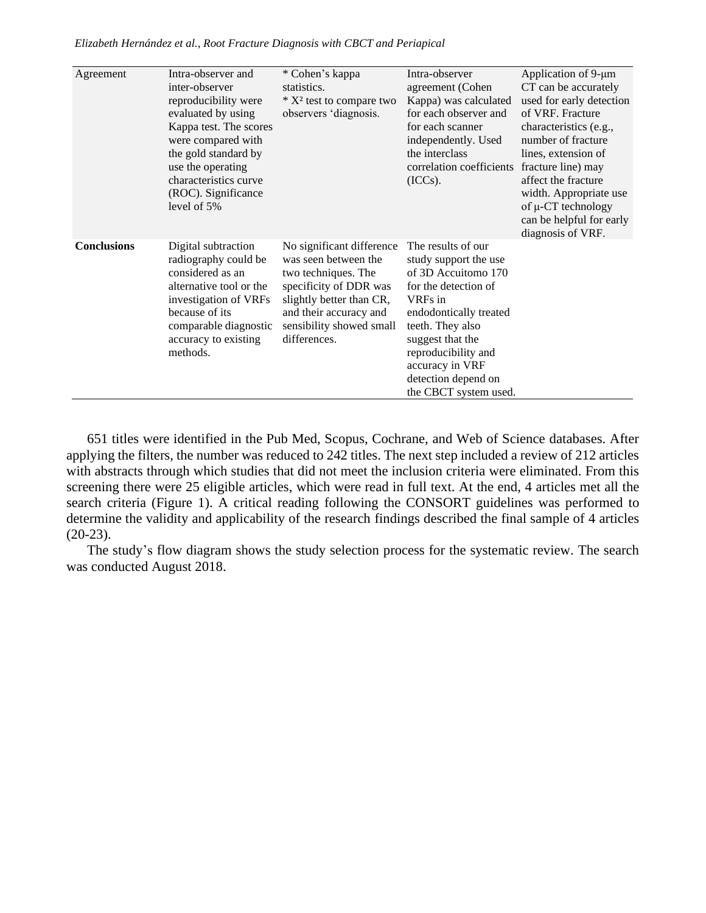| Agreement          | Intra-observer and<br>inter-observer<br>reproducibility were<br>evaluated by using<br>Kappa test. The scores<br>were compared with<br>the gold standard by<br>use the operating<br>characteristics curve<br>(ROC). Significance<br>level of 5% | * Cohen's kappa<br>statistics.<br>$*$ X <sup>2</sup> test to compare two<br>observers 'diagnosis.                                                                                                    | Intra-observer<br>agreement (Cohen<br>Kappa) was calculated<br>for each observer and<br>for each scanner<br>independently. Used<br>the interclass<br>correlation coefficients<br>(ICCs).                                                                          | Application of 9-μm<br>CT can be accurately<br>used for early detection<br>of VRF. Fracture<br>characteristics (e.g.,<br>number of fracture<br>lines, extension of<br>fracture line) may<br>affect the fracture<br>width. Appropriate use<br>of µ-CT technology<br>can be helpful for early<br>diagnosis of VRF. |
|--------------------|------------------------------------------------------------------------------------------------------------------------------------------------------------------------------------------------------------------------------------------------|------------------------------------------------------------------------------------------------------------------------------------------------------------------------------------------------------|-------------------------------------------------------------------------------------------------------------------------------------------------------------------------------------------------------------------------------------------------------------------|------------------------------------------------------------------------------------------------------------------------------------------------------------------------------------------------------------------------------------------------------------------------------------------------------------------|
| <b>Conclusions</b> | Digital subtraction<br>radiography could be<br>considered as an<br>alternative tool or the<br>investigation of VRFs<br>because of its<br>comparable diagnostic<br>accuracy to existing<br>methods.                                             | No significant difference<br>was seen between the<br>two techniques. The<br>specificity of DDR was<br>slightly better than CR,<br>and their accuracy and<br>sensibility showed small<br>differences. | The results of our<br>study support the use<br>of 3D Accuitomo 170<br>for the detection of<br>VRFs in<br>endodontically treated<br>teeth. They also<br>suggest that the<br>reproducibility and<br>accuracy in VRF<br>detection depend on<br>the CBCT system used. |                                                                                                                                                                                                                                                                                                                  |

*Elizabeth Hernández et al., Root Fracture Diagnosis with CBCT and Periapical* 

651 titles were identified in the Pub Med, Scopus, Cochrane, and Web of Science databases. After applying the filters, the number was reduced to 242 titles. The next step included a review of 212 articles with abstracts through which studies that did not meet the inclusion criteria were eliminated. From this screening there were 25 eligible articles, which were read in full text. At the end, 4 articles met all the search criteria (Figure 1). A critical reading following the CONSORT guidelines was performed to determine the validity and applicability of the research findings described the final sample of 4 articles  $(20-23)$ .

The study's flow diagram shows the study selection process for the systematic review. The search was conducted August 2018.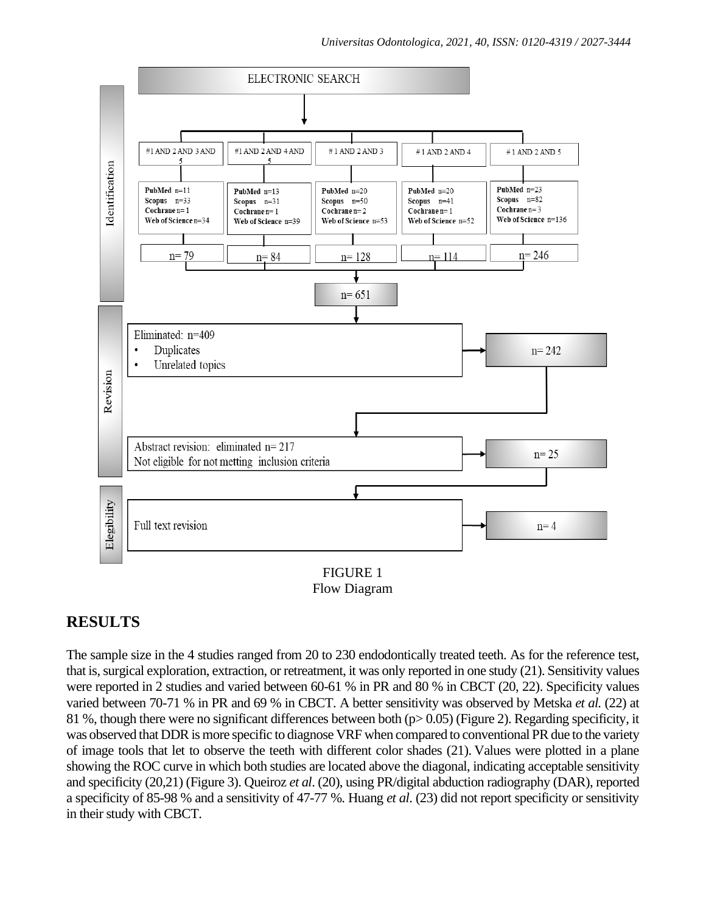

Flow Diagram

# **RESULTS**

The sample size in the 4 studies ranged from 20 to 230 endodontically treated teeth. As for the reference test, that is, surgical exploration, extraction, or retreatment, it was only reported in one study (21). Sensitivity values were reported in 2 studies and varied between 60-61 % in PR and 80 % in CBCT (20, 22). Specificity values varied between 70-71 % in PR and 69 % in CBCT. A better sensitivity was observed by Metska *et al.* (22) at 81 %, though there were no significant differences between both (p> 0.05) (Figure 2). Regarding specificity, it was observed that DDR is more specific to diagnose VRF when compared to conventional PR due to the variety of image tools that let to observe the teeth with different color shades (21). Values were plotted in a plane showing the ROC curve in which both studies are located above the diagonal, indicating acceptable sensitivity and specificity (20,21) (Figure 3). Queiroz *et al*. (20), using PR/digital abduction radiography (DAR), reported a specificity of 85-98 % and a sensitivity of 47-77 %. Huang *et al*. (23) did not report specificity or sensitivity in their study with CBCT.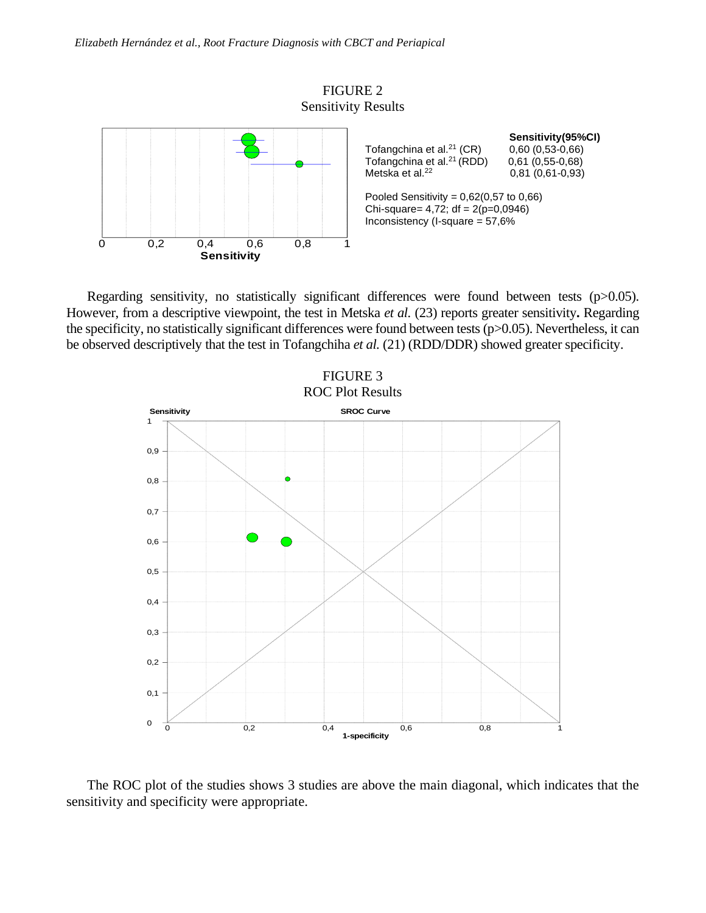

Regarding sensitivity, no statistically significant differences were found between tests (p>0.05). However, from a descriptive viewpoint, the test in Metska *et al.* (23) reports greater sensitivity**.** Regarding the specificity, no statistically significant differences were found between tests (p>0.05). Nevertheless, it can be observed descriptively that the test in Tofangchiha *et al.* (21) (RDD/DDR) showed greater specificity.



The ROC plot of the studies shows 3 studies are above the main diagonal, which indicates that the sensitivity and specificity were appropriate.  $\overline{O}$  and  $\overline{O}$  can be structured space space  $\overline{O}$  space space space space space space space space space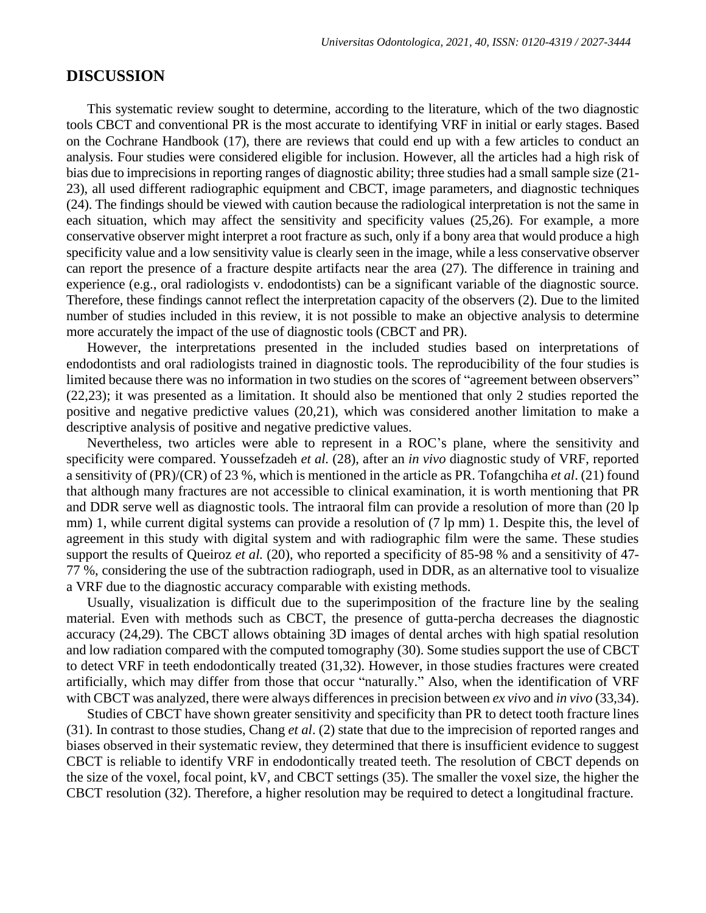### **DISCUSSION**

This systematic review sought to determine, according to the literature, which of the two diagnostic tools CBCT and conventional PR is the most accurate to identifying VRF in initial or early stages. Based on the Cochrane Handbook (17), there are reviews that could end up with a few articles to conduct an analysis. Four studies were considered eligible for inclusion. However, all the articles had a high risk of bias due to imprecisions in reporting ranges of diagnostic ability; three studies had a small sample size (21- 23), all used different radiographic equipment and CBCT, image parameters, and diagnostic techniques (24). The findings should be viewed with caution because the radiological interpretation is not the same in each situation, which may affect the sensitivity and specificity values (25,26). For example, a more conservative observer might interpret a root fracture as such, only if a bony area that would produce a high specificity value and a low sensitivity value is clearly seen in the image, while a less conservative observer can report the presence of a fracture despite artifacts near the area (27). The difference in training and experience (e.g., oral radiologists v. endodontists) can be a significant variable of the diagnostic source. Therefore, these findings cannot reflect the interpretation capacity of the observers (2). Due to the limited number of studies included in this review, it is not possible to make an objective analysis to determine more accurately the impact of the use of diagnostic tools (CBCT and PR).

However, the interpretations presented in the included studies based on interpretations of endodontists and oral radiologists trained in diagnostic tools. The reproducibility of the four studies is limited because there was no information in two studies on the scores of "agreement between observers" (22,23); it was presented as a limitation. It should also be mentioned that only 2 studies reported the positive and negative predictive values (20,21), which was considered another limitation to make a descriptive analysis of positive and negative predictive values.

Nevertheless, two articles were able to represent in a ROC's plane, where the sensitivity and specificity were compared. Youssefzadeh *et al.* (28), after an *in vivo* diagnostic study of VRF, reported a sensitivity of (PR)/(CR) of 23 %, which is mentioned in the article as PR. Tofangchiha *et al*. (21) found that although many fractures are not accessible to clinical examination, it is worth mentioning that PR and DDR serve well as diagnostic tools. The intraoral film can provide a resolution of more than (20 lp mm) 1, while current digital systems can provide a resolution of (7 lp mm) 1. Despite this, the level of agreement in this study with digital system and with radiographic film were the same. These studies support the results of Queiroz *et al.* (20), who reported a specificity of 85-98 % and a sensitivity of 47-77 %, considering the use of the subtraction radiograph, used in DDR, as an alternative tool to visualize a VRF due to the diagnostic accuracy comparable with existing methods.

Usually, visualization is difficult due to the superimposition of the fracture line by the sealing material. Even with methods such as CBCT, the presence of gutta-percha decreases the diagnostic accuracy (24,29). The CBCT allows obtaining 3D images of dental arches with high spatial resolution and low radiation compared with the computed tomography (30). Some studies support the use of CBCT to detect VRF in teeth endodontically treated (31,32). However, in those studies fractures were created artificially, which may differ from those that occur "naturally." Also, when the identification of VRF with CBCT was analyzed, there were always differences in precision between *ex vivo* and *in vivo* (33,34).

Studies of CBCT have shown greater sensitivity and specificity than PR to detect tooth fracture lines (31). In contrast to those studies, Chang *et al*. (2) state that due to the imprecision of reported ranges and biases observed in their systematic review, they determined that there is insufficient evidence to suggest CBCT is reliable to identify VRF in endodontically treated teeth. The resolution of CBCT depends on the size of the voxel, focal point, kV, and CBCT settings (35). The smaller the voxel size, the higher the CBCT resolution (32). Therefore, a higher resolution may be required to detect a longitudinal fracture.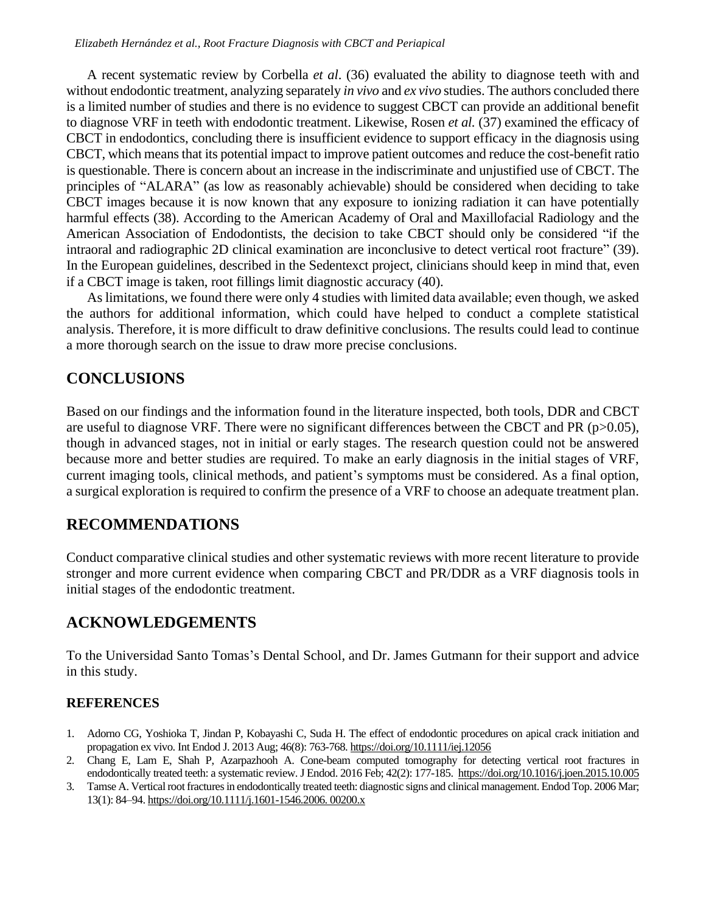A recent systematic review by Corbella *et al*. (36) evaluated the ability to diagnose teeth with and without endodontic treatment, analyzing separately *in vivo* and *ex vivo* studies. The authors concluded there is a limited number of studies and there is no evidence to suggest CBCT can provide an additional benefit to diagnose VRF in teeth with endodontic treatment. Likewise, Rosen *et al.* (37) examined the efficacy of CBCT in endodontics, concluding there is insufficient evidence to support efficacy in the diagnosis using CBCT, which means that its potential impact to improve patient outcomes and reduce the cost-benefit ratio is questionable. There is concern about an increase in the indiscriminate and unjustified use of CBCT. The principles of "ALARA" (as low as reasonably achievable) should be considered when deciding to take CBCT images because it is now known that any exposure to ionizing radiation it can have potentially harmful effects (38). According to the American Academy of Oral and Maxillofacial Radiology and the American Association of Endodontists, the decision to take CBCT should only be considered "if the intraoral and radiographic 2D clinical examination are inconclusive to detect vertical root fracture" (39). In the European guidelines, described in the Sedentexct project, clinicians should keep in mind that, even if a CBCT image is taken, root fillings limit diagnostic accuracy (40).

As limitations, we found there were only 4 studies with limited data available; even though, we asked the authors for additional information, which could have helped to conduct a complete statistical analysis. Therefore, it is more difficult to draw definitive conclusions. The results could lead to continue a more thorough search on the issue to draw more precise conclusions.

### **CONCLUSIONS**

Based on our findings and the information found in the literature inspected, both tools, DDR and CBCT are useful to diagnose VRF. There were no significant differences between the CBCT and PR (p>0.05), though in advanced stages, not in initial or early stages. The research question could not be answered because more and better studies are required. To make an early diagnosis in the initial stages of VRF, current imaging tools, clinical methods, and patient's symptoms must be considered. As a final option, a surgical exploration is required to confirm the presence of a VRF to choose an adequate treatment plan.

# **RECOMMENDATIONS**

Conduct comparative clinical studies and other systematic reviews with more recent literature to provide stronger and more current evidence when comparing CBCT and PR/DDR as a VRF diagnosis tools in initial stages of the endodontic treatment.

# **ACKNOWLEDGEMENTS**

To the Universidad Santo Tomas's Dental School, and Dr. James Gutmann for their support and advice in this study.

### **REFERENCES**

- 1. Adorno CG, Yoshioka T, Jindan P, Kobayashi C, Suda H. The effect of endodontic procedures on apical crack initiation and propagation ex vivo. Int Endod J. 2013 Aug; 46(8): 763-768.<https://doi.org/10.1111/iej.12056>
- 2. Chang E, Lam E, Shah P, Azarpazhooh A. Cone-beam computed tomography for detecting vertical root fractures in endodontically treated teeth: a systematic review. J Endod. 2016 Feb; 42(2): 177-185.<https://doi.org/10.1016/j.joen.2015.10.005>
- 3. Tamse A. Vertical root fractures in endodontically treated teeth: diagnostic signs and clinical management. Endod Top. 2006 Mar; 13(1): 84–94[. https://doi.org/10.1111/j.1601-1546.2006. 00200.x](https://doi.org/10.1111/j.1601-1546.2006.%2000200.x)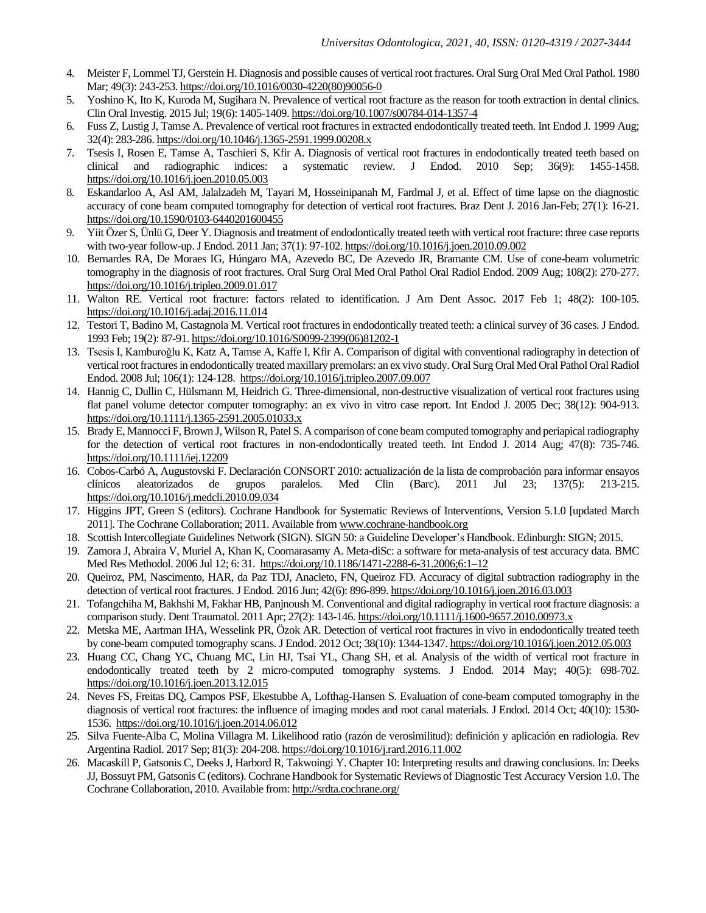- 4. Meister F, Lommel TJ, Gerstein H. Diagnosis and possible causes of vertical root fractures. Oral Surg Oral Med Oral Pathol. 1980 Mar; 49(3): 243-253[. https://doi.org/10.1016/0030-4220\(80\)90056-0](https://doi.org/10.1016/0030-4220(80)90056-0)
- 5. Yoshino K, Ito K, Kuroda M, Sugihara N. Prevalence of vertical root fracture as the reason for tooth extraction in dental clinics. Clin Oral Investig. 2015 Jul; 19(6): 1405-1409. <https://doi.org/10.1007/s00784-014-1357-4>
- 6. Fuss Z, Lustig J, Tamse A. Prevalence of vertical root fractures in extracted endodontically treated teeth. Int Endod J. 1999 Aug; 32(4): 283-286[. https://doi.org/10.1046/j.1365-2591.1999.00208.x](https://doi.org/10.1046/j.1365-2591.1999.00208.x)
- 7. Tsesis I, Rosen E, Tamse A, Taschieri S, Kfir A. Diagnosis of vertical root fractures in endodontically treated teeth based on clinical and radiographic indices: a systematic review. J Endod. 2010 Sep; 36(9): 1455-1458. <https://doi.org/10.1016/j.joen.2010.05.003>
- 8. Eskandarloo A, Asl AM, Jalalzadeh M, Tayari M, Hosseinipanah M, Fardmal J, et al. Effect of time lapse on the diagnostic accuracy of cone beam computed tomography for detection of vertical root fractures. Braz Dent J. 2016 Jan-Feb; 27(1): 16-21. <https://doi.org/10.1590/0103-6440201600455>
- 9. Yiit Özer S, Ünlü G, Deer Y. Diagnosis and treatment of endodontically treated teeth with vertical root fracture: three case reports with two-year follow-up. J Endod. 2011 Jan; 37(1): 97-102[. https://doi.org/10.1016/j.joen.2010.09.002](https://doi.org/10.1016/j.joen.2010.09.002)
- 10. Bernardes RA, De Moraes IG, Húngaro MA, Azevedo BC, De Azevedo JR, Bramante CM. Use of cone-beam volumetric tomography in the diagnosis of root fractures. Oral Surg Oral Med Oral Pathol Oral Radiol Endod. 2009 Aug; 108(2): 270-277. <https://doi.org/10.1016/j.tripleo.2009.01.017>
- 11. Walton RE. Vertical root fracture: factors related to identification. J Am Dent Assoc. 2017 Feb 1; 48(2): 100-105. <https://doi.org/10.1016/j.adaj.2016.11.014>
- 12. Testori T, Badino M, Castagnola M. Vertical root fractures in endodontically treated teeth: a clinical survey of 36 cases. J Endod. 1993 Feb; 19(2): 87-91[. https://doi.org/10.1016/S0099-2399\(06\)81202-1](https://doi.org/10.1016/S0099-2399(06)81202-1)
- 13. Tsesis I, Kamburoǧlu K, Katz A, Tamse A, Kaffe I, Kfir A. Comparison of digital with conventional radiography in detection of vertical root fractures in endodontically treated maxillary premolars: an ex vivo study. Oral Surg Oral Med Oral Pathol Oral Radiol Endod. 2008 Jul; 106(1): 124-128.<https://doi.org/10.1016/j.tripleo.2007.09.007>
- 14. Hannig C, Dullin C, Hülsmann M, Heidrich G. Three-dimensional, non-destructive visualization of vertical root fractures using flat panel volume detector computer tomography: an ex vivo in vitro case report. Int Endod J. 2005 Dec; 38(12): 904-913. <https://doi.org/10.1111/j.1365-2591.2005.01033.x>
- 15. Brady E, Mannocci F, Brown J, Wilson R, Patel S. A comparison of cone beam computed tomography and periapical radiography for the detection of vertical root fractures in non-endodontically treated teeth. Int Endod J. 2014 Aug; 47(8): 735-746. <https://doi.org/10.1111/iej.12209>
- 16. Cobos-Carbó A, Augustovski F. Declaración CONSORT 2010: actualización de la lista de comprobación para informar ensayos clínicos aleatorizados de grupos paralelos. Med Clin (Barc). 2011 Jul 23; 137(5): 213-215. <https://doi.org/10.1016/j.medcli.2010.09.034>
- 17. Higgins JPT, Green S (editors). Cochrane Handbook for Systematic Reviews of Interventions, Version 5.1.0 [updated March 2011]. The Cochrane Collaboration; 2011. Available fro[m www.cochrane-handbook.org](http://www.cochrane-handbook.org/)
- 18. Scottish Intercollegiate Guidelines Network (SIGN). SIGN 50: a Guideline Developer's Handbook. Edinburgh: SIGN; 2015.
- 19. Zamora J, Abraira V, Muriel A, Khan K, Coomarasamy A. Meta-diSc: a software for meta-analysis of test accuracy data. BMC Med Res Methodol. 2006 Jul 12; 6: 31. <https://doi.org/10.1186/1471-2288-6-31.2006;6:1–12>
- 20. Queiroz, PM, Nascimento, HAR, da Paz TDJ, Anacleto, FN, Queiroz FD. Accuracy of digital subtraction radiography in the detection of vertical root fractures. J Endod. 2016 Jun; 42(6): 896-899[. https://doi.org/10.1016/j.joen.2016.03.003](https://doi.org/10.1016/j.joen.2016.03.003)
- 21. Tofangchiha M, Bakhshi M, Fakhar HB, Panjnoush M. Conventional and digital radiography in vertical root fracture diagnosis: a comparison study. Dent Traumatol. 2011 Apr; 27(2): 143-146[. https://doi.org/10.1111/j.1600-9657.2010.00973.x](https://doi.org/10.1111/j.1600-9657.2010.00973.x)
- 22. Metska ME, Aartman IHA, Wesselink PR, Özok AR. Detection of vertical root fractures in vivo in endodontically treated teeth by cone-beam computed tomography scans. J Endod. 2012 Oct; 38(10): 1344-1347[. https://doi.org/10.1016/j.joen.2012.05.003](https://doi.org/10.1016/j.joen.2012.05.003)
- 23. Huang CC, Chang YC, Chuang MC, Lin HJ, Tsai YL, Chang SH, et al. Analysis of the width of vertical root fracture in endodontically treated teeth by 2 micro-computed tomography systems. J Endod. 2014 May; 40(5): 698-702. <https://doi.org/10.1016/j.joen.2013.12.015>
- 24. Neves FS, Freitas DQ, Campos PSF, Ekestubbe A, Lofthag-Hansen S. Evaluation of cone-beam computed tomography in the diagnosis of vertical root fractures: the influence of imaging modes and root canal materials. J Endod. 2014 Oct; 40(10): 1530- 1536.<https://doi.org/10.1016/j.joen.2014.06.012>
- 25. Silva Fuente-Alba C, Molina Villagra M. Likelihood ratio (razón de verosimilitud): definición y aplicación en radiología. Rev Argentina Radiol. 2017 Sep; 81(3): 204-208[. https://doi.org/10.1016/j.rard.2016.11.002](https://doi.org/10.1016/j.rard.2016.11.002)
- 26. Macaskill P, Gatsonis C, Deeks J, Harbord R, Takwoingi Y. Chapter 10: Interpreting results and drawing conclusions. In: Deeks JJ, Bossuyt PM, Gatsonis C (editors). Cochrane Handbook for Systematic Reviews of Diagnostic Test Accuracy Version 1.0. The Cochrane Collaboration, 2010. Available from[: http://srdta.cochrane.org/](http://srdta.cochrane.org/)